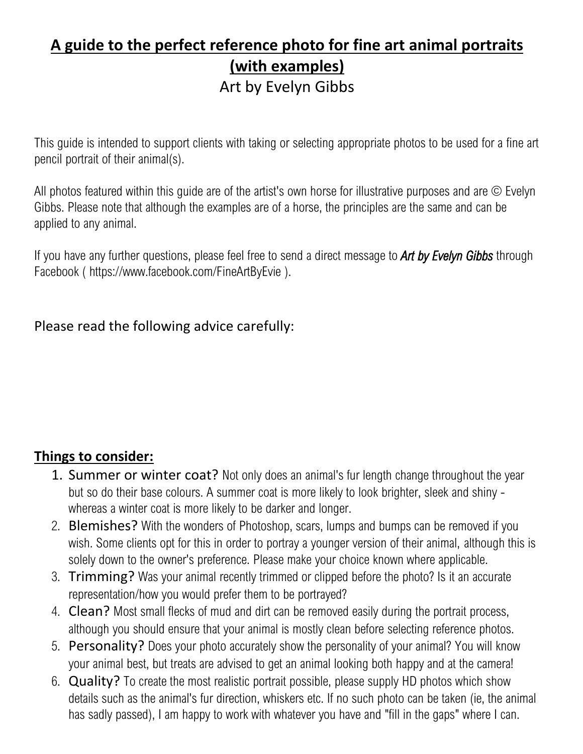## **A guide to the perfect reference photo for fine art animal portraits (with examples)** Art by Evelyn Gibbs

This guide is intended to support clients with taking or selecting appropriate photos to be used for a fine art pencil portrait of their animal(s).

All photos featured within this guide are of the artist's own horse for illustrative purposes and are © Evelyn Gibbs. Please note that although the examples are of a horse, the principles are the same and can be applied to any animal.

If you have any further questions, please feel free to send a direct message to *Art by Evelyn Gibbs* through Facebook ( [https://www.facebook.com/FineArtByEvie](https://www.facebook.com/FineArtByEvie/?modal=admin_todo_tour) ).

Please read the following advice carefully:

## **Things to consider:**

- 1. Summer or winter coat? Not only does an animal's fur length change throughout the year but so do their base colours. A summer coat is more likely to look brighter, sleek and shiny whereas a winter coat is more likely to be darker and longer.
- 2. Blemishes? With the wonders of Photoshop, scars, lumps and bumps can be removed if you wish. Some clients opt for this in order to portray a younger version of their animal, although this is solely down to the owner's preference. Please make your choice known where applicable.
- 3. Trimming? Was your animal recently trimmed or clipped before the photo? Is it an accurate representation/how you would prefer them to be portrayed?
- 4. Clean? Most small flecks of mud and dirt can be removed easily during the portrait process, although you should ensure that your animal is mostly clean before selecting reference photos.
- 5. Personality? Does your photo accurately show the personality of your animal? You will know your animal best, but treats are advised to get an animal looking both happy and at the camera!
- 6. Quality? To create the most realistic portrait possible, please supply HD photos which show details such as the animal's fur direction, whiskers etc. If no such photo can be taken (ie, the animal has sadly passed), I am happy to work with whatever you have and "fill in the gaps" where I can.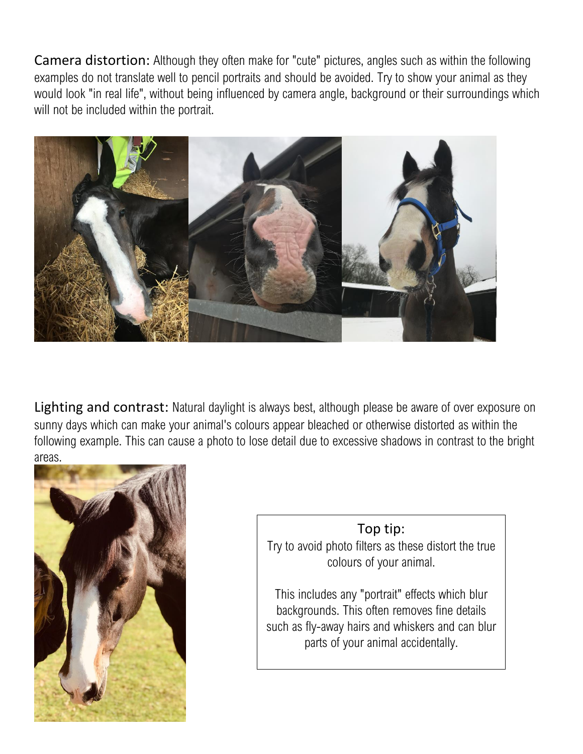Camera distortion: Although they often make for "cute" pictures, angles such as within the following examples do not translate well to pencil portraits and should be avoided. Try to show your animal as they would look "in real life", without being influenced by camera angle, background or their surroundings which will not be included within the portrait.



Lighting and contrast: Natural daylight is always best, although please be aware of over exposure on sunny days which can make your animal's colours appear bleached or otherwise distorted as within the following example. This can cause a photo to lose detail due to excessive shadows in contrast to the bright areas.



## Top tip:

Try to avoid photo filters as these distort the true colours of your animal.

This includes any "portrait" effects which blur backgrounds. This often removes fine details such as fly-away hairs and whiskers and can blur parts of your animal accidentally.